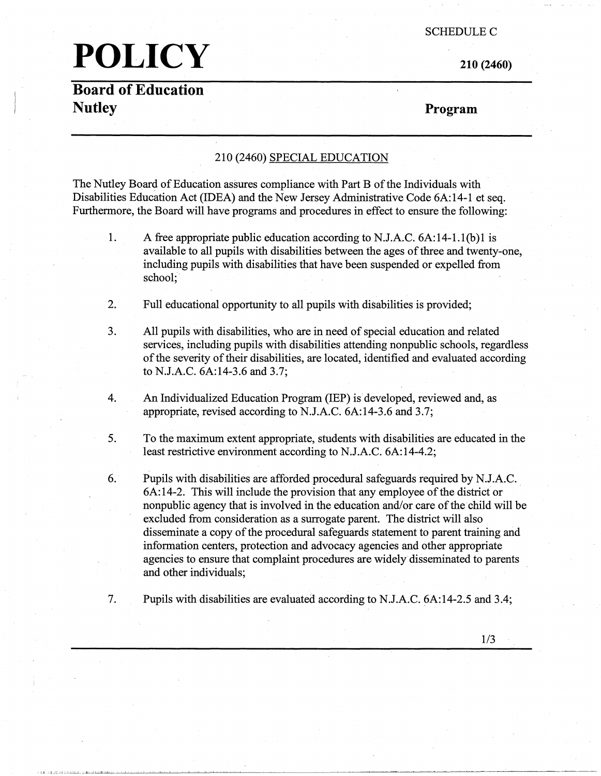#### SCHEDULE C

# **POLICY**

**210 (2460)** 

### **Board of Education Nutley**

**Program** 

### 210 (2460) SPECIAL EDUCATION

The Nutley Board of Education assures compliance with Part B of the Individuals with Disabilities Education Act (IDEA) and the New Jersey Administrative Code 6A:14-1 et seq. Furthermore, the Board will have programs and procedures in effect to ensure the following:

- 1. A free appropriate public education according to N.J.A.C. 6A:14-1.l(b)l is available to all pupils with disabilities between the ages of three and twenty-one, including pupils with disabilities that have been suspended or expelled from school;
- 2. Full educational opportunity to all pupils with disabilities is provided;
- 3. All pupils with disabilities, who are in need of special education and related services, including pupils with disabilities attending nonpublic schools, regardless of the severity of their disabilities, are located, identified and evaluated according to N.J.A.C. 6A:14-3.6 and 3.7;
- 4. An Individualized Education Program (IEP) is developed, reviewed and, as appropriate, revised according to N.J.A.C. 6A:14-3.6 and 3.7;
- 5. To the maximum extent appropriate, students with disabilities are educated in the least restrictive environment according to N.J.A.C. 6A:14-4.2;
- 6. Pupils with disabilities are afforded procedural safeguards required by N,J.A.C .. 6A:14-2. This will include the provision that any employee of the district or nonpublic agency that is involved in the education and/or care of the child will be excluded from consideration as a surrogate parent. The district will also disseminate a copy of the procedural safeguards statement to parent training and information centers, protection and advocacy agencies and other appropriate agencies to ensure that complaint procedures are widely disseminated to parents and other individuals;
- 7. Pupils with disabilities are evaluated according to N.J.A.C. 6A:14-2.5 and 3.4;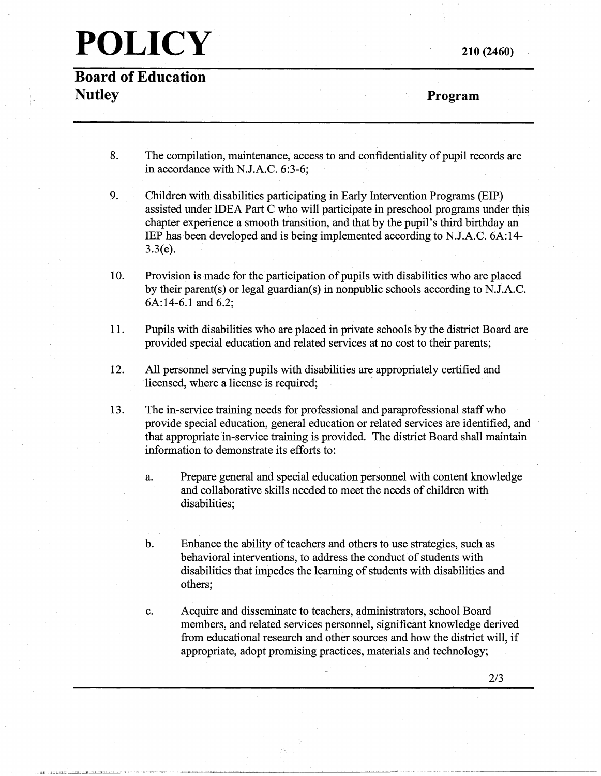**Board of Education Nutley** 

**210 (2460)** 

**Program** 

- 8. The compilation, maintenance, access to and confidentiality of pupil records are in accordance with N.J.A.C. 6:3-6;
- 9. Children with disabilities participating in Early Intervention Programs (EIP) assisted under IDEA Part C who will participate in preschool programs under this chapter experience a smooth transition, and that by the pupil's third birthday an IEP has been developed and is being implemented according to N.J.A.C. 6A:14- $3.3(e)$ .
- 10. Provision is made for the participation of pupils with disabilities who are placed by their parent(s) or legal guardian(s) in nonpublic schools according to N.J.A.C. 6A:14-6.l and 6.2;
- 11. Pupils with disabilities who are placed in private schools by the district Board are provided special education and related services at no cost to their parents;
- 12. All personnel serving pupils with disabilities are appropriately certified and licensed, where a license is required;
- 13. The in-service training needs for professional and paraprofessional staff who provide special education, general education or related services are identified, and that appropriate 'in-service training is provided. The district Board shall maintain information to demonstrate its efforts to:
	- a. Prepare general and special education personnel with content knowledge and collaborative skills needed to meet the needs of children with disabilities;
	- b. Enhance the ability of teachers and others to use strategies, such as behavioral interventions, to address the conduct of students with disabilities that impedes the learning of students with disabilities and others;
	- c. Acquire and disseminate to teachers, administrators, school Board members, and related services personnel, significant knowledge derived from educational research and other sources and how the district will, if appropriate, adopt promising practices, materials and technology;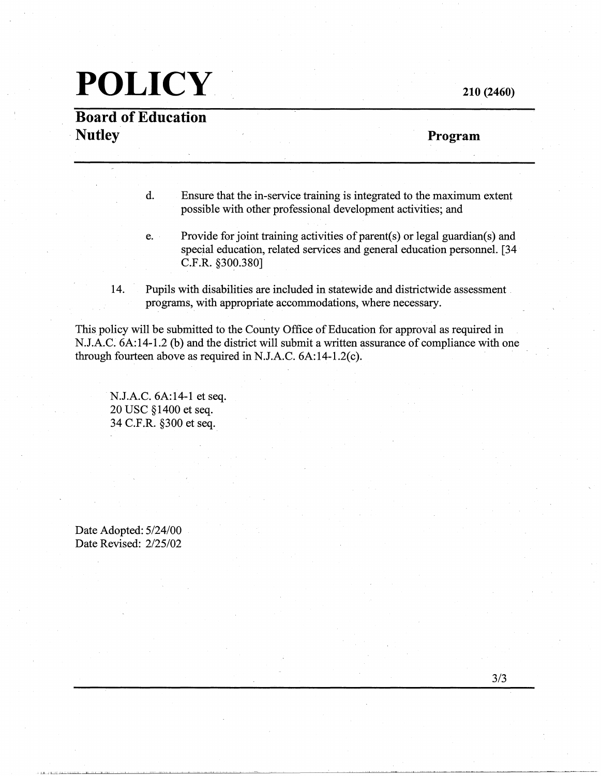# **POLICY 210 (2460)**

### **Board of Education Nutley Program Program**

d. Ensure that the in-service training is integrated to the maximum extent possible with other professional development activities; and

- e. Provide for joint training activities of parent(s) or legal guardian(s) and special education, related services and general education personnel. [34 C.F.R. §300.380]
- 14. Pupils with disabilities are included in statewide and districtwide assessment programs, with appropriate accommodations, where necessary.

This policy will be submitted to the County Office of Education for approval as required in N.J.A.C. 6A:14-1.2 (b) and the district will submit a written assurance of compliance with one through fourteen above as required in N.J.A.C. 6A:14-l.2(c).

N.J.A.C. 6A:14-1 et seq. 20 USC §1400 et seq. 34 C.F.R. §300 et seq.

Date Adopted: 5/24/00 Date Revised: 2/25/02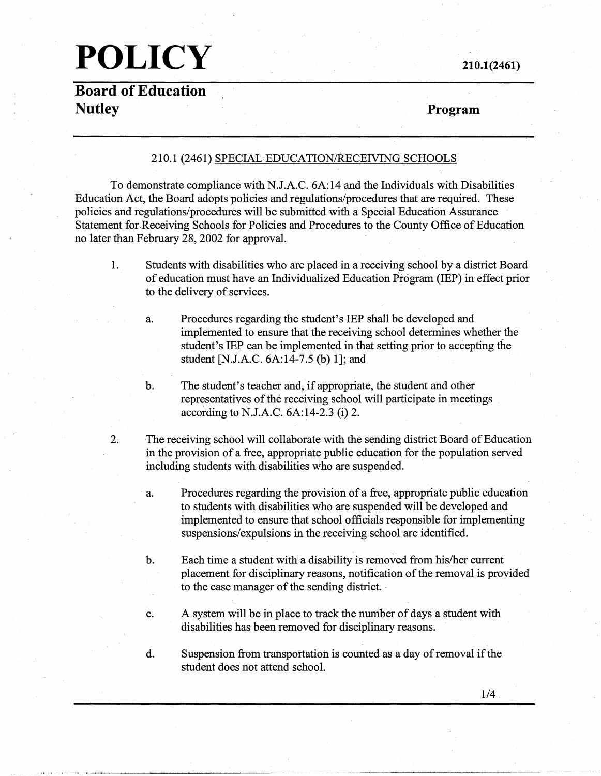# **POLICY 210.1(2461)**

**Board of Education Nutley Program** 

#### 210.1 (2461) SPECIAL EDUCATION/RECEIVING SCHOOLS

To demonstrate compliance with N.J.A.C. 6A:14 and the Individuals with\_Disabilities Education Act, the Board adopts policies and regulations/procedures that are required. These policies and regulations/procedures will be submitted with a Special Education Assurance Statement for.Receiving Schools for Policies and Procedures to the County Office of Education no later than February 28, 2002 for approval.

1. Students with disabilities who are placed in a receiving school by a district Board of education must have an Individualized Education Program (IEP) in effect prior to the delivery of services.

a. Procedures regarding the student's IEP shall be developed and implemented to ensure that the receiving school determines whether the student's IEP can be implemented in that setting prior to accepting the student [N.J.A.C. 6A:14-7.5 (b) 1]; and

b. The student's teacher and, if appropriate, the student and other representatives of the receiving school will participate in meetings according to N.J.A.C. 6A:14-2.3 (i) 2.

- 2. The receiving school will collaborate with the sending district Board of Education in the provision of a free, appropriate public education for the population served including students with disabilities who are suspended.
	- a. Procedures regarding the provision of a free, appropriate public education to students with disabilities who are suspended will be developed and implemented to ensure that school officials responsible for implementing suspensions/expulsions in the receiving school are identified.
	- b. Each time a student with a disability is removed from his/her current placement for disciplinary reasons, notification of the removal is provided to the case manager of the sending district. -
	- c. A system will be in place to track the number of days a student with disabilities has been removed for disciplinary reasons.
	- d. Suspension from transportation is counted as a day of removal if the student does not attend school.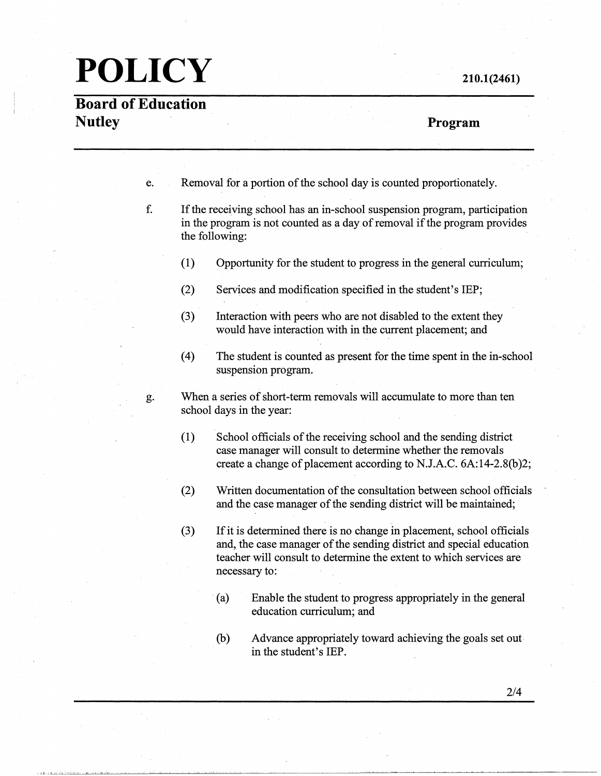**Board of Education Nutley** 

#### **210.1(2461)**

### **Program**

e. Removal for a portion of the school day is counted proportionately.

- f. If the receiving school has an in-school suspension program, participation in the program is not counted as a day of removal if the program provides the following:
	- (1) Opportunity for the student to progress in the general curriculum;
	- (2) Services and modification specified in the student's IEP;
	- (3) Interaction with peers who are not disabled to the extent they would have interaction with in the current placement; and
	- ( 4) The student is counted as present for the time spent in the in-school suspension program.

g. When a series of short-term removals will accumulate to more than ten school days in the year:

- (1) School officials of the receiving school and the sending district case manager will consult to determine whether the removals create a change of placement according to N.J.A.C. 6A:14-2.8(b)2;
- (2) Written documentation of the consultation between school officials and the case manager of the sending district will be maintained;
- (3) If it is determined there is no change in placement, school officials and, the case manager of the sending district and special education teacher will consult to determine the extent to which services are necessary to:
	- (a) Enable the student to progress appropriately in the general education curriculum; and
	- (b) Advance appropriately toward achieving the goals set out in the student's IEP.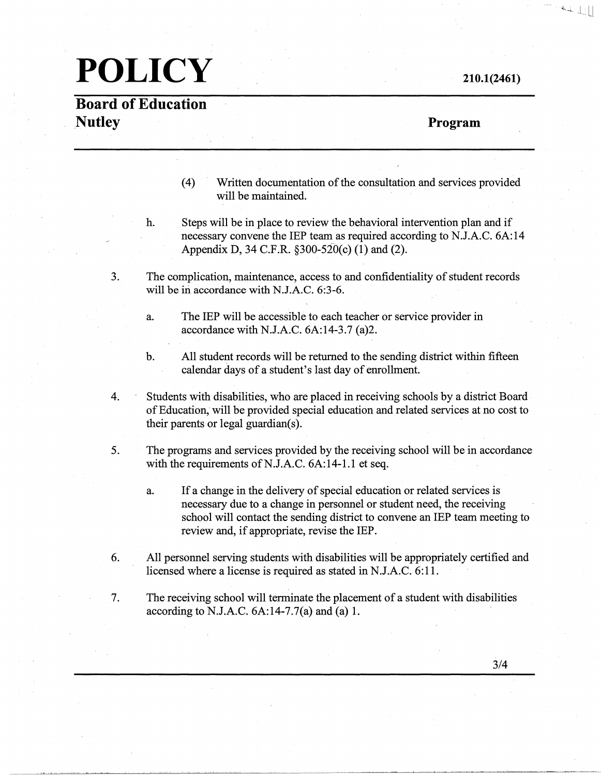### **Board of Education Nutley**

### **Program**

**210.1(2461)** 

 $\left\| \mathbf{u}_{\mathbf{u},\mathbf{u}} \right\|_{\mathcal{H}_{\mathbf{u},\mathbf{u}}^{s}} = \left\| \mathbf{u}_{\mathbf{u},\mathbf{u}} \right\|_{\mathcal{H}_{\mathbf{u},\mathbf{u}}^{s}}$ 

- (4) Written documentation of the consultation and services provided will be maintained.
- h. Steps will be in place to review the behavioral intervention plan and if necessary convene the IEP team as required according to N.J.A.C. 6A:14 Appendix D, 34 C.F.R. §300-520(c) (1) and (2).
- 3. The complication, maintenance, access to and confidentiality of student records will be in accordance with N.J.A.C. 6:3-6.
	- a. The IEP will be accessible to each teacher or service provider in accordance with N.J.A.C. 6A:14-3.7 (a)2.
	- b. All student records will be returned to the sending district within fifteen calendar days of a student's last day of enrollment.
- 4. Students with disabilities, who are placed in receiving schools by a district Board of Education, will be provided special education and related services at no cost to their parents or legal guardian(s).
- 5. The programs and services provided by the receiving school will be in accordance with the requirements of N.J.A.C. 6A:14-1.1 et seq.
	- a. If a change in the delivery of special education or related services is necessary due to a change in personnel or student need, the receiving school will contact the sending district to convene an IEP team meeting to review and, if appropriate, revise the IEP.
- 6. All personnel serving students with disabilities will be appropriately certified and licensed where a license is required as stated in N.J.A.C. 6:11.
- 7. The receiving school will terminate the placement of a student with disabilities according to N.J.A.C.  $6A:14-7.7(a)$  and  $(a) 1$ .